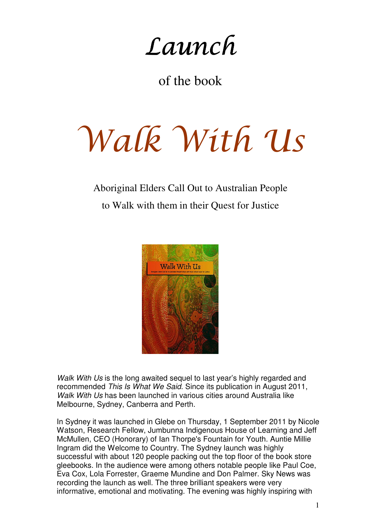Launch

of the book

## Walk With Us

## Aboriginal Elders Call Out to Australian People to Walk with them in their Quest for Justice



Walk With Us is the long awaited sequel to last year's highly regarded and recommended This Is What We Said. Since its publication in August 2011, Walk With Us has been launched in various cities around Australia like Melbourne, Sydney, Canberra and Perth.

In Sydney it was launched in Glebe on Thursday, 1 September 2011 by Nicole Watson, Research Fellow, Jumbunna Indigenous House of Learning and Jeff McMullen, CEO (Honorary) of Ian Thorpe's Fountain for Youth. Auntie Millie Ingram did the Welcome to Country. The Sydney launch was highly successful with about 120 people packing out the top floor of the book store gleebooks. In the audience were among others notable people like Paul Coe, Eva Cox, Lola Forrester, Graeme Mundine and Don Palmer. Sky News was recording the launch as well. The three brilliant speakers were very informative, emotional and motivating. The evening was highly inspiring with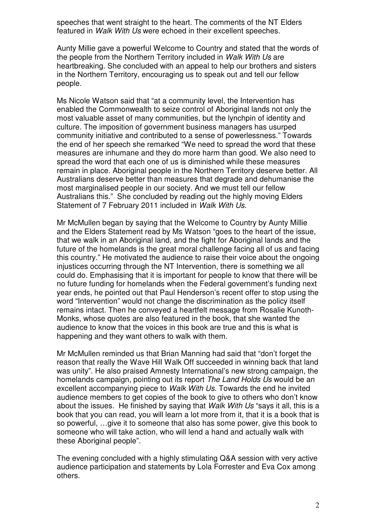speeches that went straight to the heart. The comments of the NT Elders featured in Walk With Us were echoed in their excellent speeches.

Aunty Millie gave a powerful Welcome to Country and stated that the words of the people from the Northern Territory included in Walk With Us are heartbreaking. She concluded with an appeal to help our brothers and sisters in the Northern Territory, encouraging us to speak out and tell our fellow people.

Ms Nicole Watson said that "at a community level, the Intervention has enabled the Commonwealth to seize control of Aboriginal lands not only the most valuable asset of many communities, but the lynchpin of identity and culture. The imposition of government business managers has usurped community initiative and contributed to a sense of powerlessness." Towards the end of her speech she remarked "We need to spread the word that these measures are inhumane and they do more harm than good. We also need to spread the word that each one of us is diminished while these measures remain in place. Aboriginal people in the Northern Territory deserve better. All Australians deserve better than measures that degrade and dehumanise the most marginalised people in our society. And we must tell our fellow Australians this." She concluded by reading out the highly moving Elders Statement of 7 February 2011 included in Walk With Us.

Mr McMullen began by saying that the Welcome to Country by Aunty Millie and the Elders Statement read by Ms Watson "goes to the heart of the issue, that we walk in an Aboriginal land, and the fight for Aboriginal lands and the future of the homelands is the great moral challenge facing all of us and facing this country." He motivated the audience to raise their voice about the ongoing injustices occurring through the NT Intervention, there is something we all could do. Emphasising that it is important for people to know that there will be no future funding for homelands when the Federal government's funding next year ends, he pointed out that Paul Henderson's recent offer to stop using the word "Intervention" would not change the discrimination as the policy itself remains intact. Then he conveyed a heartfelt message from Rosalie Kunoth-Monks, whose quotes are also featured in the book, that she wanted the audience to know that the voices in this book are true and this is what is happening and they want others to walk with them.

Mr McMullen reminded us that Brian Manning had said that "don't forget the reason that really the Wave Hill Walk Off succeeded in winning back that land was unity". He also praised Amnesty International's new strong campaign, the homelands campaign, pointing out its report The Land Holds Us would be an excellent accompanying piece to Walk With Us. Towards the end he invited audience members to get copies of the book to give to others who don't know about the issues. He finished by saying that Walk With Us "says it all, this is a book that you can read, you will learn a lot more from it, that it is a book that is so powerful, …give it to someone that also has some power, give this book to someone who will take action, who will lend a hand and actually walk with these Aboriginal people".

The evening concluded with a highly stimulating Q&A session with very active audience participation and statements by Lola Forrester and Eva Cox among others.